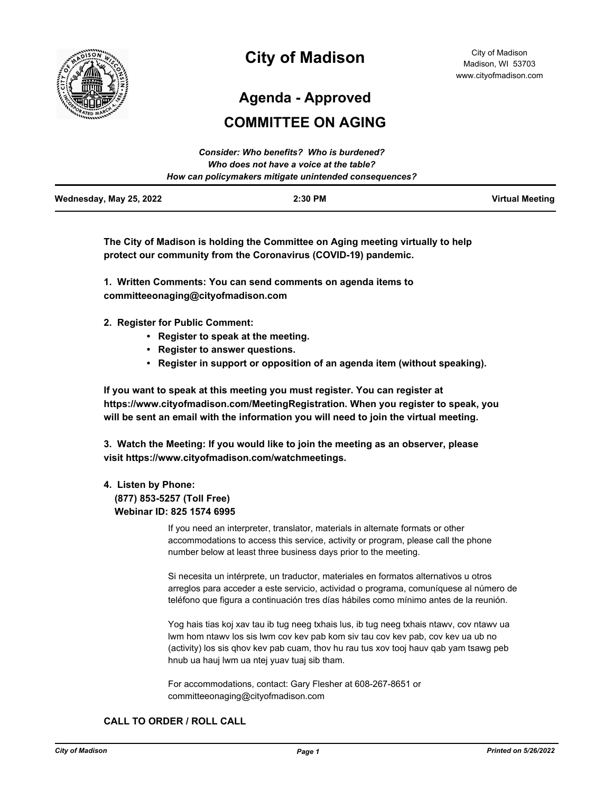

# **City of Madison**

**Agenda - Approved**

# **COMMITTEE ON AGING**

|                         | Consider: Who benefits? Who is burdened?               |                        |
|-------------------------|--------------------------------------------------------|------------------------|
|                         | Who does not have a voice at the table?                |                        |
|                         | How can policymakers mitigate unintended consequences? |                        |
| Wednesday, May 25, 2022 | $2:30$ PM                                              | <b>Virtual Meeting</b> |

**The City of Madison is holding the Committee on Aging meeting virtually to help protect our community from the Coronavirus (COVID-19) pandemic.**

**1. Written Comments: You can send comments on agenda items to committeeonaging@cityofmadison.com**

- **2. Register for Public Comment:** 
	- **Register to speak at the meeting.**
	- **Register to answer questions.**
	- **Register in support or opposition of an agenda item (without speaking).**

**If you want to speak at this meeting you must register. You can register at https://www.cityofmadison.com/MeetingRegistration. When you register to speak, you will be sent an email with the information you will need to join the virtual meeting.**

**3. Watch the Meeting: If you would like to join the meeting as an observer, please visit https://www.cityofmadison.com/watchmeetings.**

#### **4. Listen by Phone:**

 **(877) 853-5257 (Toll Free) Webinar ID: 825 1574 6995**

> If you need an interpreter, translator, materials in alternate formats or other accommodations to access this service, activity or program, please call the phone number below at least three business days prior to the meeting.

Si necesita un intérprete, un traductor, materiales en formatos alternativos u otros arreglos para acceder a este servicio, actividad o programa, comuníquese al número de teléfono que figura a continuación tres días hábiles como mínimo antes de la reunión.

Yog hais tias koj xav tau ib tug neeg txhais lus, ib tug neeg txhais ntawv, cov ntawv ua lwm hom ntawv los sis lwm cov kev pab kom siv tau cov kev pab, cov kev ua ub no (activity) los sis qhov kev pab cuam, thov hu rau tus xov tooj hauv qab yam tsawg peb hnub ua hauj lwm ua ntej yuav tuaj sib tham.

For accommodations, contact: Gary Flesher at 608-267-8651 or committeeonaging@cityofmadison.com

#### **CALL TO ORDER / ROLL CALL**